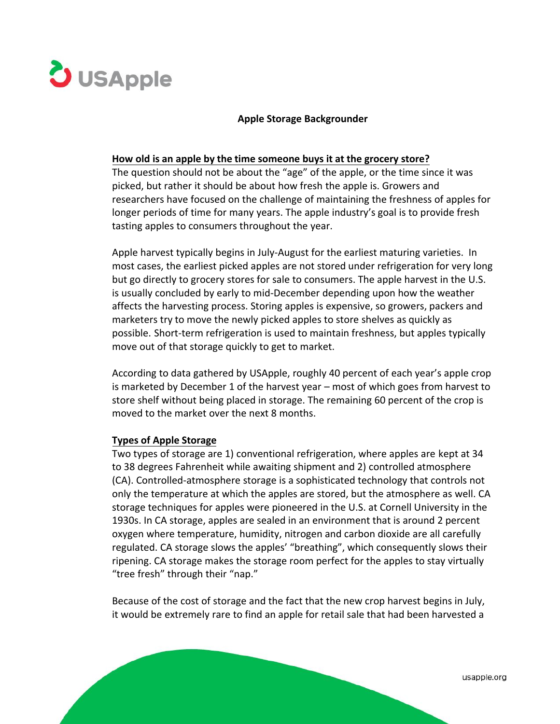

## **Apple Storage Backgrounder**

## **How old is an apple by the time someone buys it at the grocery store?**

The question should not be about the "age" of the apple, or the time since it was picked, but rather it should be about how fresh the apple is. Growers and researchers have focused on the challenge of maintaining the freshness of apples for longer periods of time for many years. The apple industry's goal is to provide fresh tasting apples to consumers throughout the year.

Apple harvest typically begins in July-August for the earliest maturing varieties. In most cases, the earliest picked apples are not stored under refrigeration for very long but go directly to grocery stores for sale to consumers. The apple harvest in the U.S. is usually concluded by early to mid-December depending upon how the weather affects the harvesting process. Storing apples is expensive, so growers, packers and marketers try to move the newly picked apples to store shelves as quickly as possible. Short-term refrigeration is used to maintain freshness, but apples typically move out of that storage quickly to get to market.

According to data gathered by USApple, roughly 40 percent of each year's apple crop is marketed by December 1 of the harvest year – most of which goes from harvest to store shelf without being placed in storage. The remaining 60 percent of the crop is moved to the market over the next 8 months.

## **Types of Apple Storage**

Two types of storage are 1) conventional refrigeration, where apples are kept at 34 to 38 degrees Fahrenheit while awaiting shipment and 2) controlled atmosphere (CA). Controlled-atmosphere storage is a sophisticated technology that controls not only the temperature at which the apples are stored, but the atmosphere as well. CA storage techniques for apples were pioneered in the U.S. at Cornell University in the 1930s. In CA storage, apples are sealed in an environment that is around 2 percent oxygen where temperature, humidity, nitrogen and carbon dioxide are all carefully regulated. CA storage slows the apples' "breathing", which consequently slows their ripening. CA storage makes the storage room perfect for the apples to stay virtually "tree fresh" through their "nap."

Because of the cost of storage and the fact that the new crop harvest begins in July, it would be extremely rare to find an apple for retail sale that had been harvested a